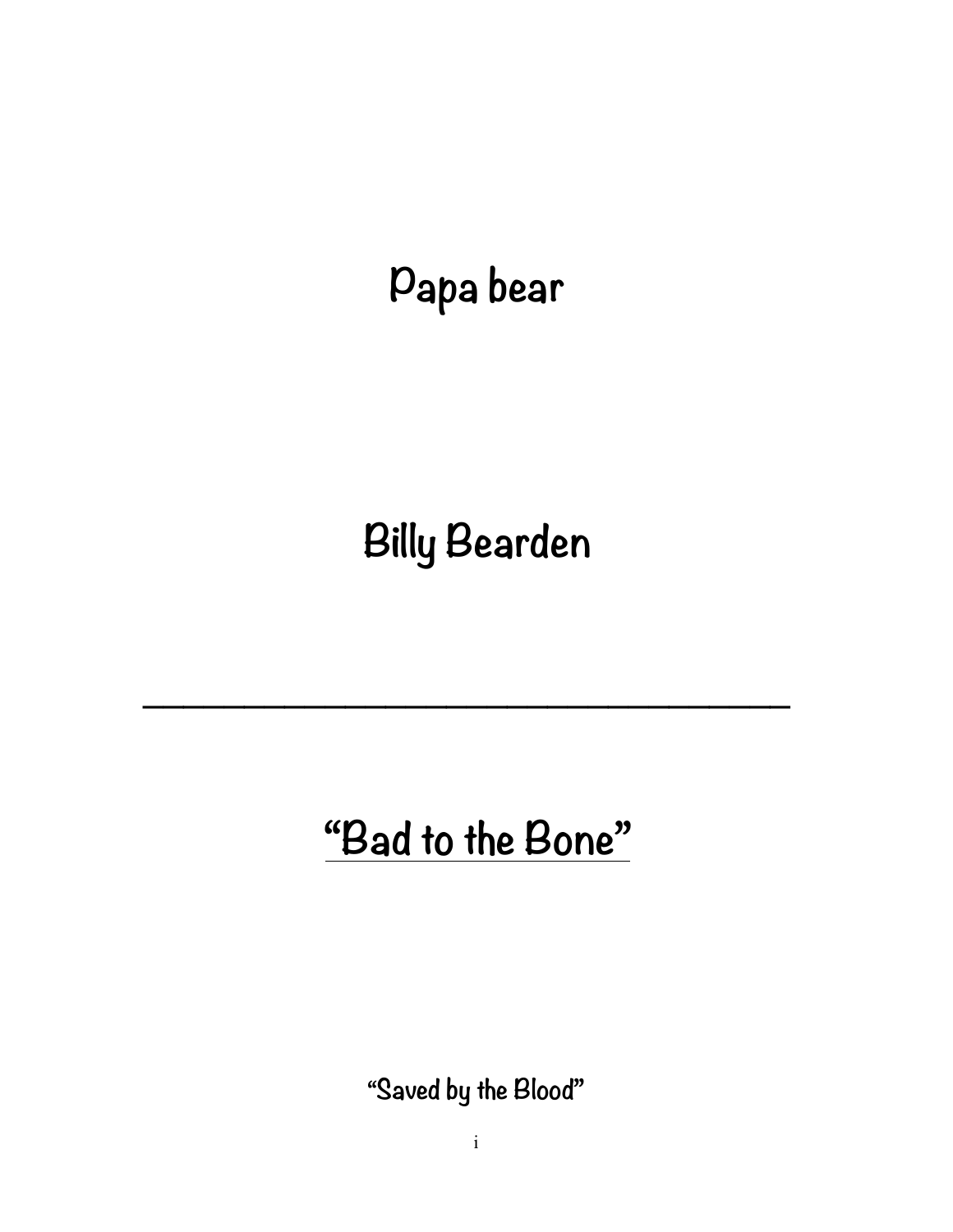# **Papa bear**

# **Billy Bearden**

**\_\_\_\_\_\_\_\_\_\_\_\_\_\_\_\_\_\_\_\_\_\_\_\_\_\_\_\_\_\_\_\_**

# **"Bad to the Bone"**

**"Saved by the Blood"**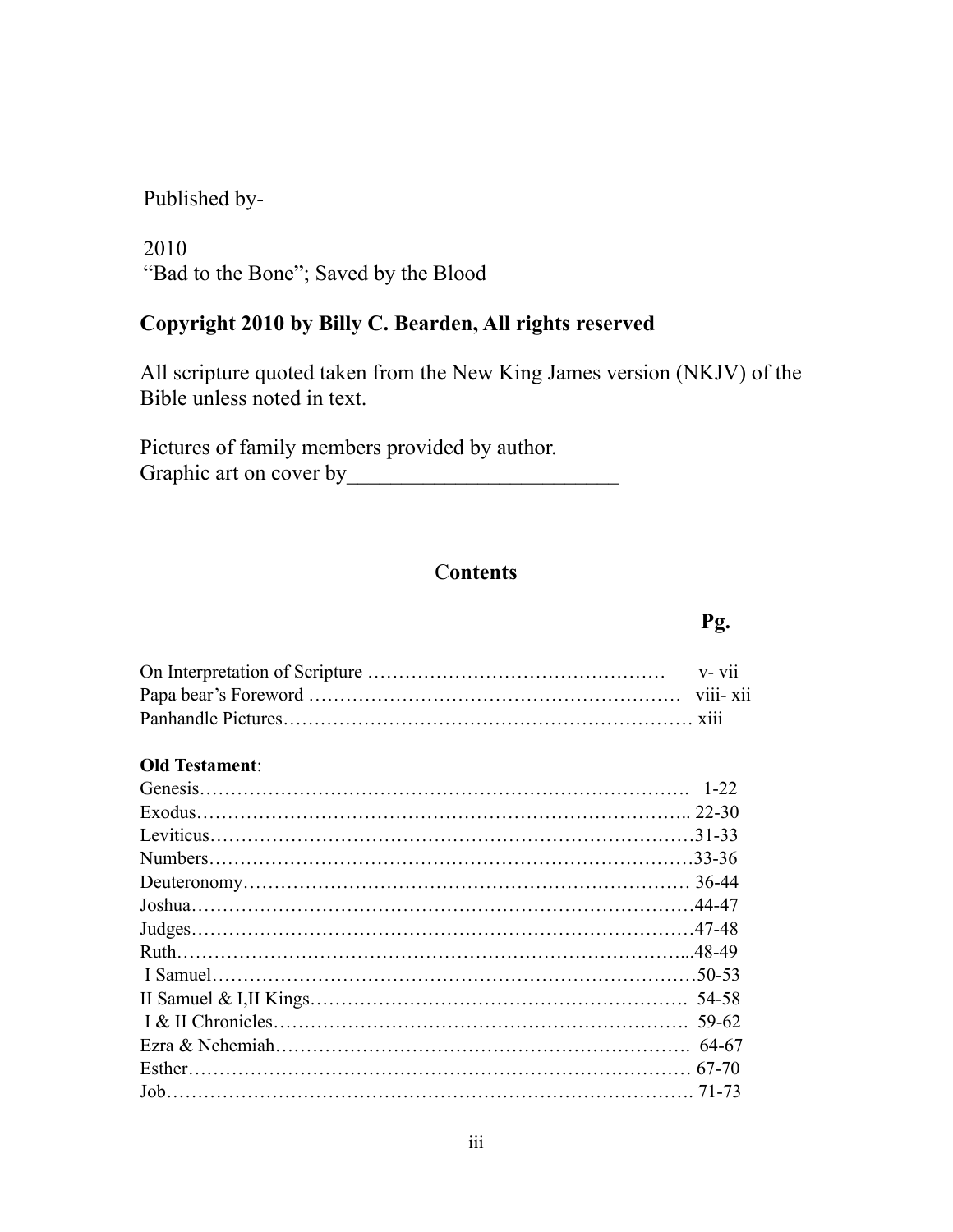### Published by-

2010 "Bad to the Bone"; Saved by the Blood

### **Copyright 2010 by Billy C. Bearden, All rights reserved**

All scripture quoted taken from the New King James version (NKJV) of the Bible unless noted in text.

Pictures of family members provided by author. Graphic art on cover by

#### C**ontents**

## On Interpretation of Scripture ………………………………………… v- vii Papa bear's Foreword …………………………………………………… viii- xii Panhandle Pictures………………………………………………………… xiii

#### **Old Testament**:

#### iii

## **Pg.**  $\overline{P}$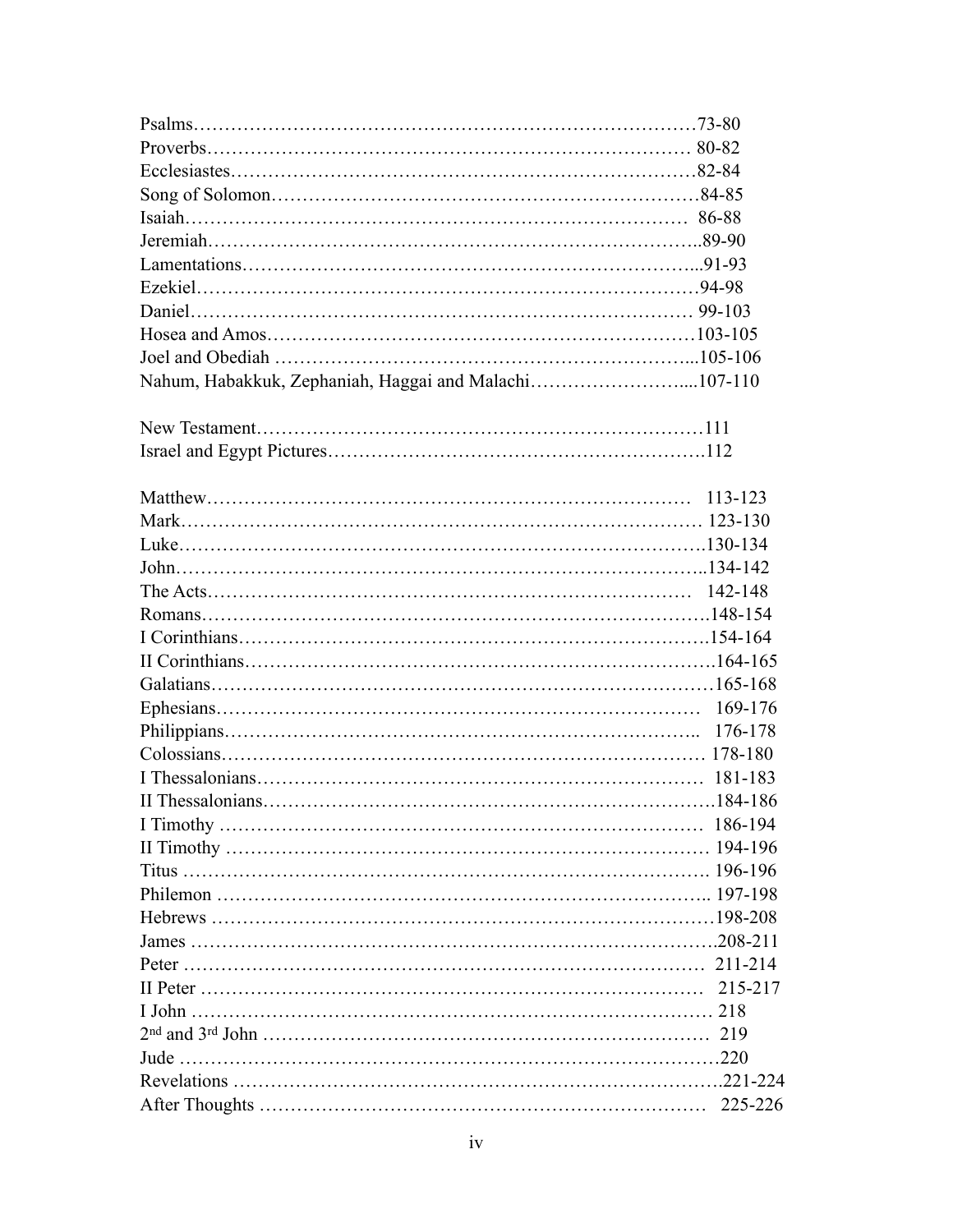| Nahum, Habakkuk, Zephaniah, Haggai and Malachi107-110 |  |
|-------------------------------------------------------|--|
|                                                       |  |
|                                                       |  |
|                                                       |  |
|                                                       |  |
|                                                       |  |
|                                                       |  |
|                                                       |  |
|                                                       |  |
|                                                       |  |
|                                                       |  |
|                                                       |  |
|                                                       |  |
|                                                       |  |
|                                                       |  |
|                                                       |  |
|                                                       |  |
|                                                       |  |
|                                                       |  |
|                                                       |  |
|                                                       |  |
|                                                       |  |
|                                                       |  |
|                                                       |  |
|                                                       |  |
|                                                       |  |
|                                                       |  |
|                                                       |  |
|                                                       |  |
|                                                       |  |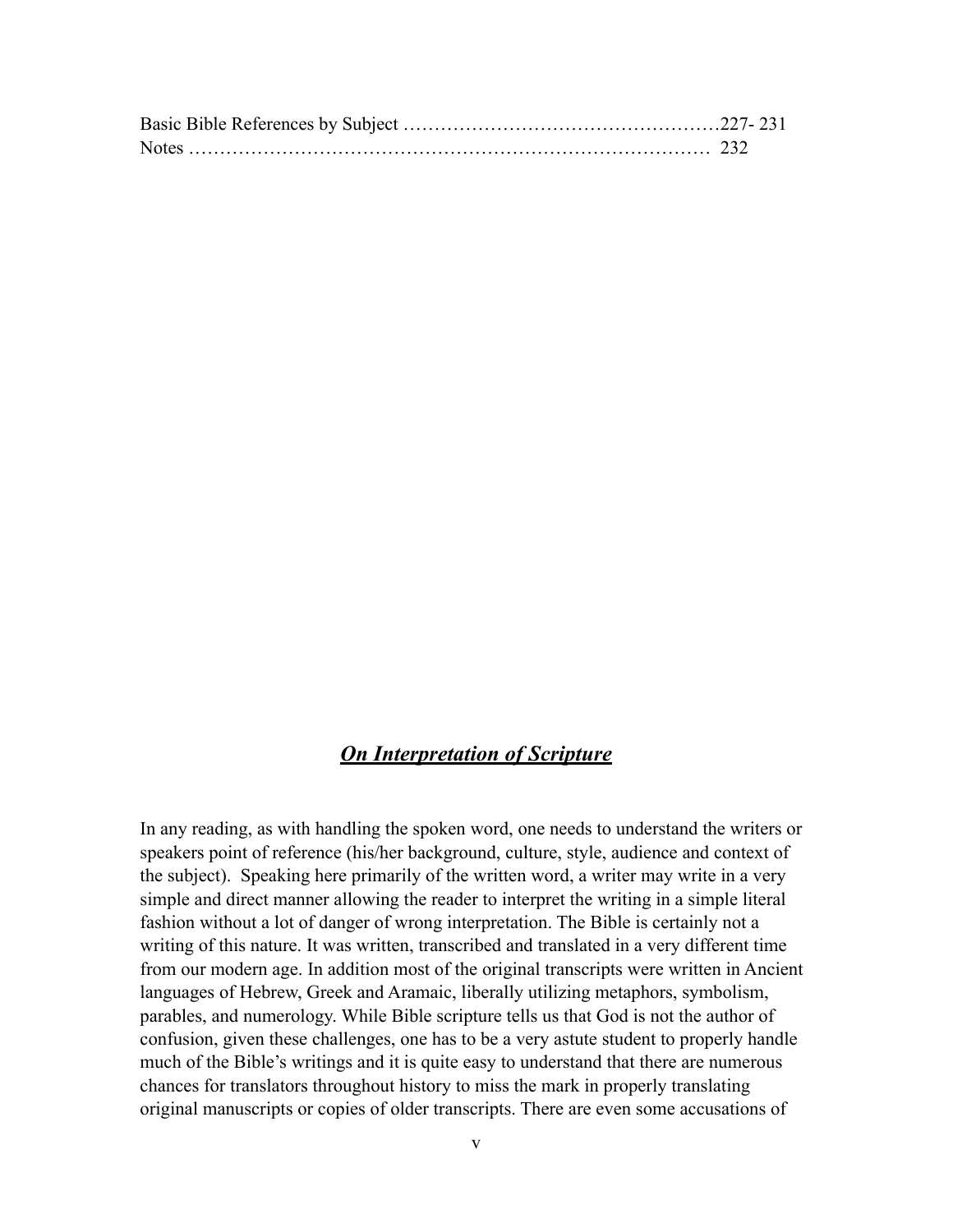### *On Interpretation of Scripture*

In any reading, as with handling the spoken word, one needs to understand the writers or speakers point of reference (his/her background, culture, style, audience and context of the subject). Speaking here primarily of the written word, a writer may write in a very simple and direct manner allowing the reader to interpret the writing in a simple literal fashion without a lot of danger of wrong interpretation. The Bible is certainly not a writing of this nature. It was written, transcribed and translated in a very different time from our modern age. In addition most of the original transcripts were written in Ancient languages of Hebrew, Greek and Aramaic, liberally utilizing metaphors, symbolism, parables, and numerology. While Bible scripture tells us that God is not the author of confusion, given these challenges, one has to be a very astute student to properly handle much of the Bible's writings and it is quite easy to understand that there are numerous chances for translators throughout history to miss the mark in properly translating original manuscripts or copies of older transcripts. There are even some accusations of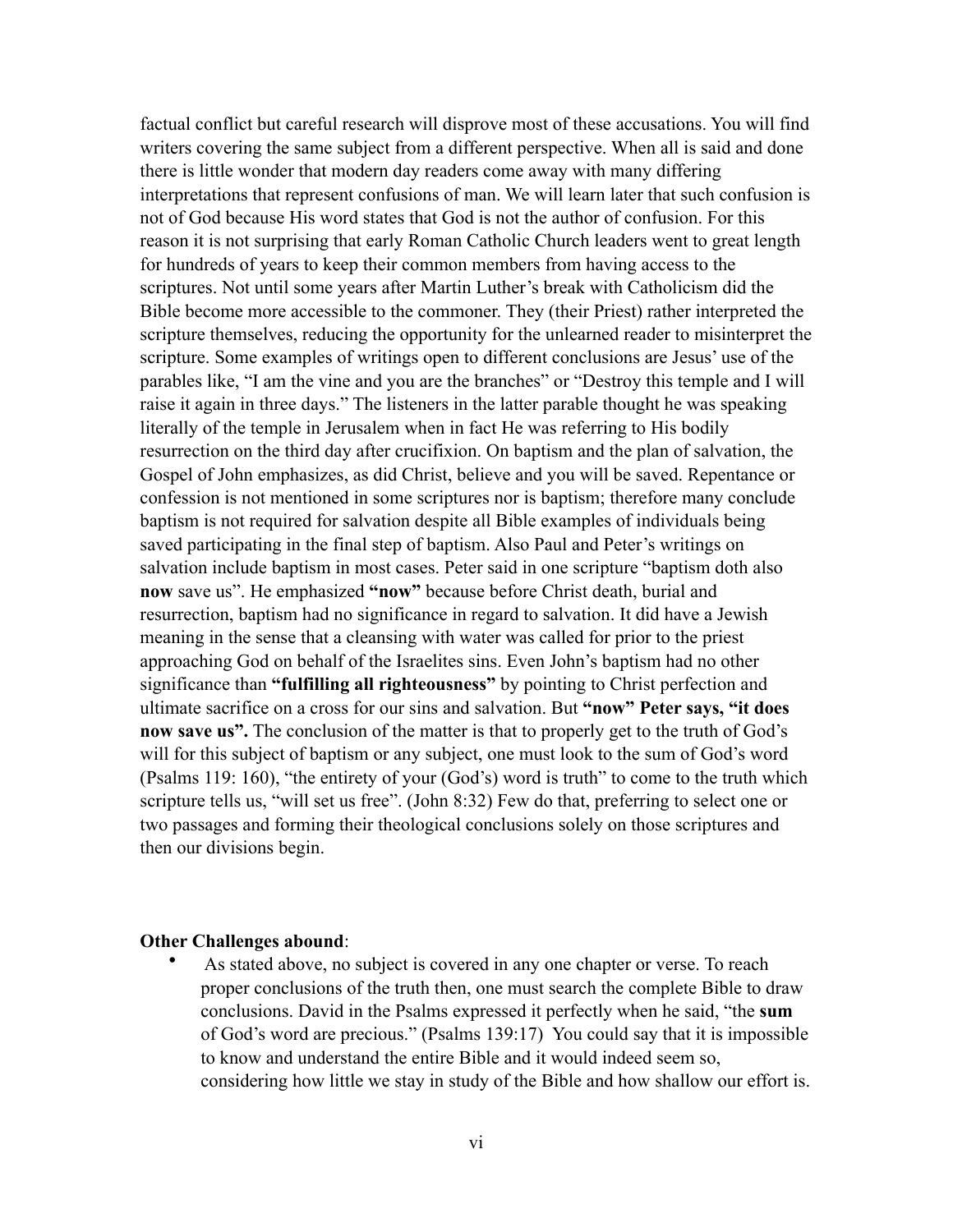factual conflict but careful research will disprove most of these accusations. You will find writers covering the same subject from a different perspective. When all is said and done there is little wonder that modern day readers come away with many differing interpretations that represent confusions of man. We will learn later that such confusion is not of God because His word states that God is not the author of confusion. For this reason it is not surprising that early Roman Catholic Church leaders went to great length for hundreds of years to keep their common members from having access to the scriptures. Not until some years after Martin Luther's break with Catholicism did the Bible become more accessible to the commoner. They (their Priest) rather interpreted the scripture themselves, reducing the opportunity for the unlearned reader to misinterpret the scripture. Some examples of writings open to different conclusions are Jesus' use of the parables like, "I am the vine and you are the branches" or "Destroy this temple and I will raise it again in three days." The listeners in the latter parable thought he was speaking literally of the temple in Jerusalem when in fact He was referring to His bodily resurrection on the third day after crucifixion. On baptism and the plan of salvation, the Gospel of John emphasizes, as did Christ, believe and you will be saved. Repentance or confession is not mentioned in some scriptures nor is baptism; therefore many conclude baptism is not required for salvation despite all Bible examples of individuals being saved participating in the final step of baptism. Also Paul and Peter's writings on salvation include baptism in most cases. Peter said in one scripture "baptism doth also **now** save us". He emphasized **"now"** because before Christ death, burial and resurrection, baptism had no significance in regard to salvation. It did have a Jewish meaning in the sense that a cleansing with water was called for prior to the priest approaching God on behalf of the Israelites sins. Even John's baptism had no other significance than **"fulfilling all righteousness"** by pointing to Christ perfection and ultimate sacrifice on a cross for our sins and salvation. But **"now" Peter says, "it does now save us".** The conclusion of the matter is that to properly get to the truth of God's will for this subject of baptism or any subject, one must look to the sum of God's word (Psalms 119: 160), "the entirety of your (God's) word is truth" to come to the truth which scripture tells us, "will set us free". (John 8:32) Few do that, preferring to select one or two passages and forming their theological conclusions solely on those scriptures and then our divisions begin.

#### **Other Challenges abound**:

As stated above, no subject is covered in any one chapter or verse. To reach proper conclusions of the truth then, one must search the complete Bible to draw conclusions. David in the Psalms expressed it perfectly when he said, "the **sum** of God's word are precious." (Psalms 139:17) You could say that it is impossible to know and understand the entire Bible and it would indeed seem so, considering how little we stay in study of the Bible and how shallow our effort is.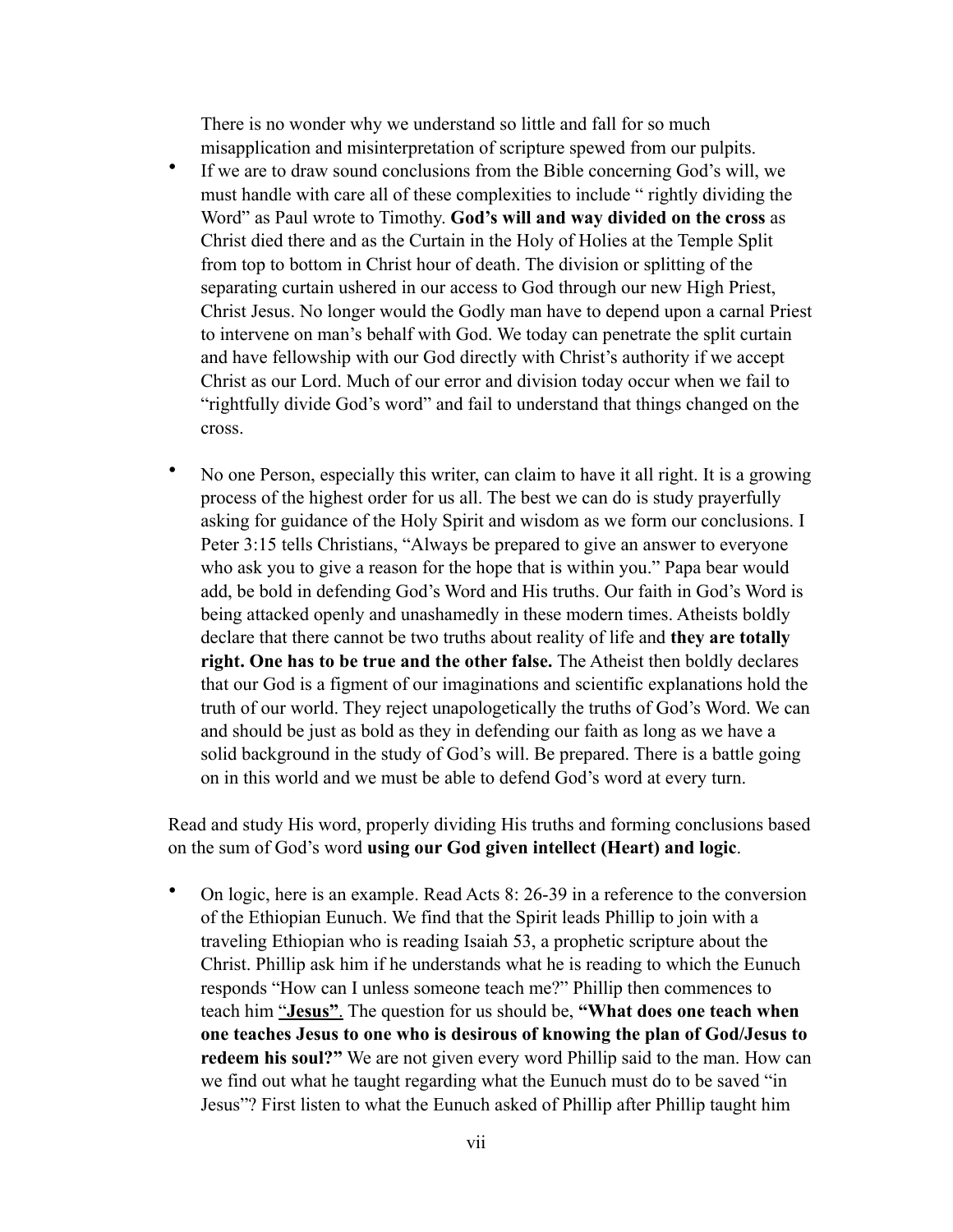There is no wonder why we understand so little and fall for so much misapplication and misinterpretation of scripture spewed from our pulpits.

- If we are to draw sound conclusions from the Bible concerning God's will, we must handle with care all of these complexities to include " rightly dividing the Word" as Paul wrote to Timothy. **God's will and way divided on the cross** as Christ died there and as the Curtain in the Holy of Holies at the Temple Split from top to bottom in Christ hour of death. The division or splitting of the separating curtain ushered in our access to God through our new High Priest, Christ Jesus. No longer would the Godly man have to depend upon a carnal Priest to intervene on man's behalf with God. We today can penetrate the split curtain and have fellowship with our God directly with Christ's authority if we accept Christ as our Lord. Much of our error and division today occur when we fail to "rightfully divide God's word" and fail to understand that things changed on the cross.
- No one Person, especially this writer, can claim to have it all right. It is a growing process of the highest order for us all. The best we can do is study prayerfully asking for guidance of the Holy Spirit and wisdom as we form our conclusions. I Peter 3:15 tells Christians, "Always be prepared to give an answer to everyone who ask you to give a reason for the hope that is within you." Papa bear would add, be bold in defending God's Word and His truths. Our faith in God's Word is being attacked openly and unashamedly in these modern times. Atheists boldly declare that there cannot be two truths about reality of life and **they are totally right. One has to be true and the other false.** The Atheist then boldly declares that our God is a figment of our imaginations and scientific explanations hold the truth of our world. They reject unapologetically the truths of God's Word. We can and should be just as bold as they in defending our faith as long as we have a solid background in the study of God's will. Be prepared. There is a battle going on in this world and we must be able to defend God's word at every turn.

Read and study His word, properly dividing His truths and forming conclusions based on the sum of God's word **using our God given intellect (Heart) and logic**.

• On logic, here is an example. Read Acts 8: 26-39 in a reference to the conversion of the Ethiopian Eunuch. We find that the Spirit leads Phillip to join with a traveling Ethiopian who is reading Isaiah 53, a prophetic scripture about the Christ. Phillip ask him if he understands what he is reading to which the Eunuch responds "How can I unless someone teach me?" Phillip then commences to teach him "**Jesus"**. The question for us should be, **"What does one teach when one teaches Jesus to one who is desirous of knowing the plan of God/Jesus to redeem his soul?"** We are not given every word Phillip said to the man. How can we find out what he taught regarding what the Eunuch must do to be saved "in Jesus"? First listen to what the Eunuch asked of Phillip after Phillip taught him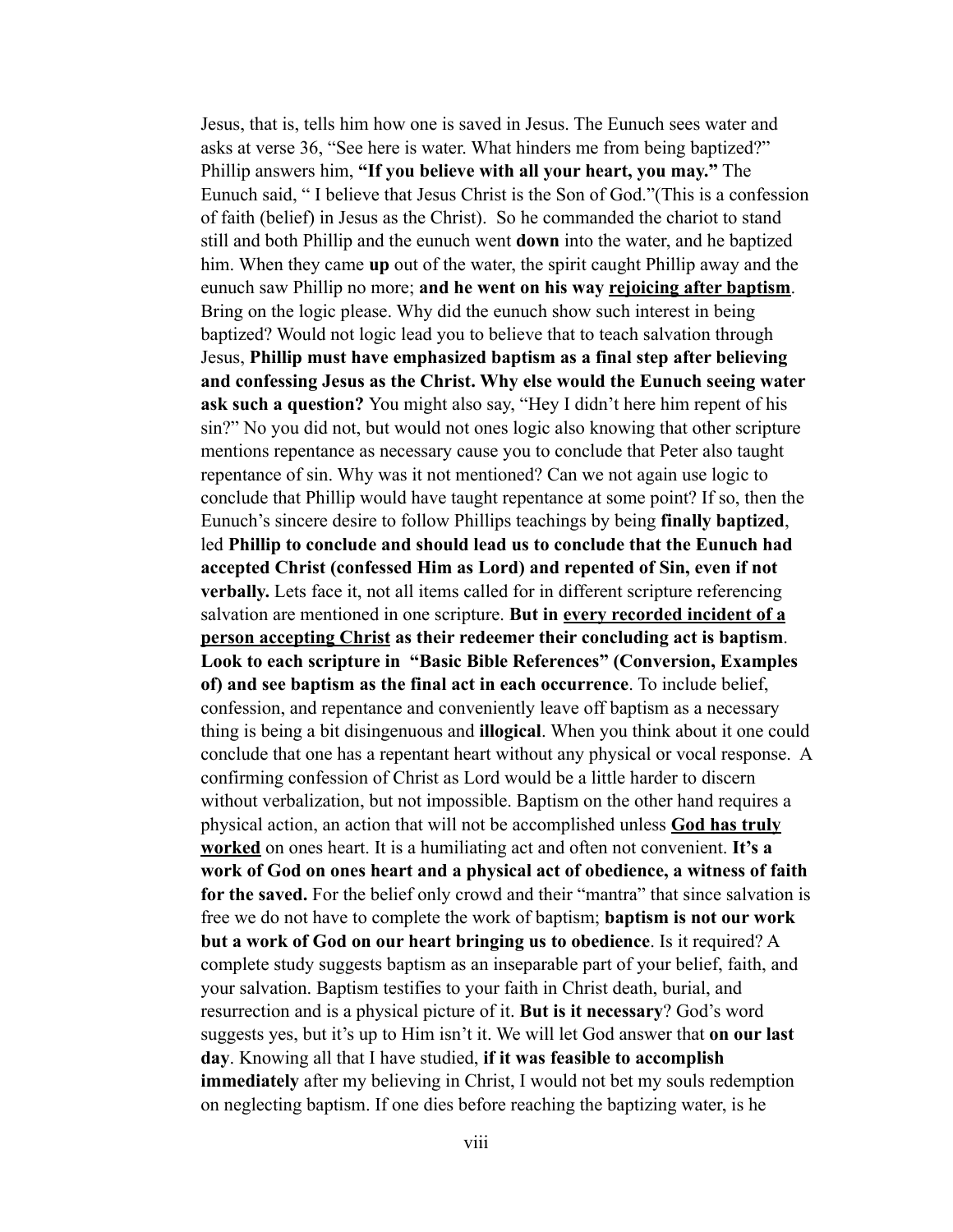Jesus, that is, tells him how one is saved in Jesus. The Eunuch sees water and asks at verse 36, "See here is water. What hinders me from being baptized?" Phillip answers him, **"If you believe with all your heart, you may."** The Eunuch said, " I believe that Jesus Christ is the Son of God."(This is a confession of faith (belief) in Jesus as the Christ). So he commanded the chariot to stand still and both Phillip and the eunuch went **down** into the water, and he baptized him. When they came **up** out of the water, the spirit caught Phillip away and the eunuch saw Phillip no more; **and he went on his way rejoicing after baptism**. Bring on the logic please. Why did the eunuch show such interest in being baptized? Would not logic lead you to believe that to teach salvation through Jesus, **Phillip must have emphasized baptism as a final step after believing and confessing Jesus as the Christ. Why else would the Eunuch seeing water ask such a question?** You might also say, "Hey I didn't here him repent of his sin?" No you did not, but would not ones logic also knowing that other scripture mentions repentance as necessary cause you to conclude that Peter also taught repentance of sin. Why was it not mentioned? Can we not again use logic to conclude that Phillip would have taught repentance at some point? If so, then the Eunuch's sincere desire to follow Phillips teachings by being **finally baptized**, led **Phillip to conclude and should lead us to conclude that the Eunuch had accepted Christ (confessed Him as Lord) and repented of Sin, even if not verbally.** Lets face it, not all items called for in different scripture referencing salvation are mentioned in one scripture. **But in every recorded incident of a person accepting Christ as their redeemer their concluding act is baptism**. **Look to each scripture in "Basic Bible References" (Conversion, Examples of) and see baptism as the final act in each occurrence**. To include belief, confession, and repentance and conveniently leave off baptism as a necessary thing is being a bit disingenuous and **illogical**. When you think about it one could conclude that one has a repentant heart without any physical or vocal response. A confirming confession of Christ as Lord would be a little harder to discern without verbalization, but not impossible. Baptism on the other hand requires a physical action, an action that will not be accomplished unless **God has truly worked** on ones heart. It is a humiliating act and often not convenient. **It's a work of God on ones heart and a physical act of obedience, a witness of faith**  for the saved. For the belief only crowd and their "mantra" that since salvation is free we do not have to complete the work of baptism; **baptism is not our work but a work of God on our heart bringing us to obedience**. Is it required? A complete study suggests baptism as an inseparable part of your belief, faith, and your salvation. Baptism testifies to your faith in Christ death, burial, and resurrection and is a physical picture of it. **But is it necessary**? God's word suggests yes, but it's up to Him isn't it. We will let God answer that **on our last day**. Knowing all that I have studied, **if it was feasible to accomplish immediately** after my believing in Christ, I would not bet my souls redemption on neglecting baptism. If one dies before reaching the baptizing water, is he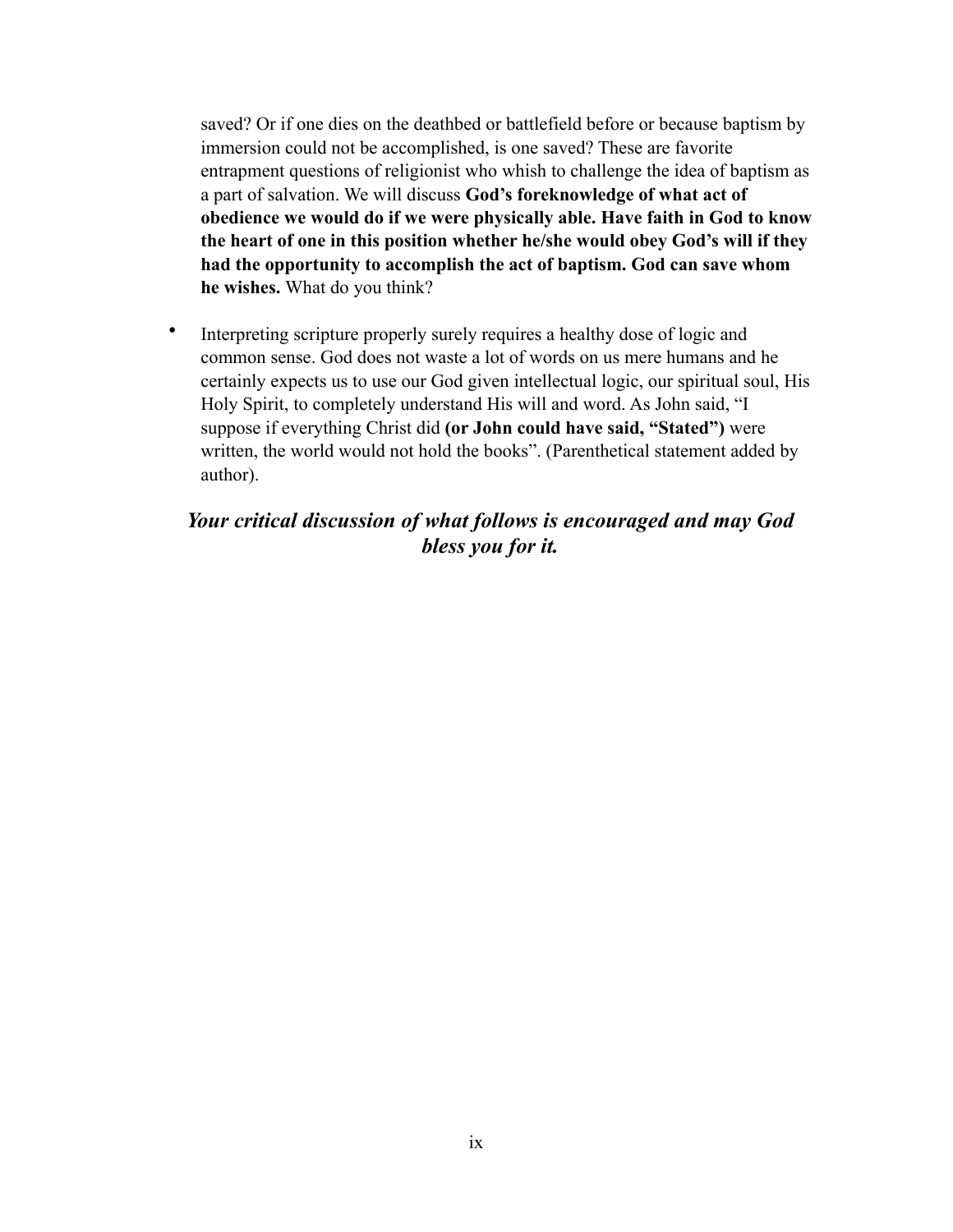saved? Or if one dies on the deathbed or battlefield before or because baptism by immersion could not be accomplished, is one saved? These are favorite entrapment questions of religionist who whish to challenge the idea of baptism as a part of salvation. We will discuss **God's foreknowledge of what act of obedience we would do if we were physically able. Have faith in God to know the heart of one in this position whether he/she would obey God's will if they had the opportunity to accomplish the act of baptism. God can save whom he wishes.** What do you think?

• Interpreting scripture properly surely requires a healthy dose of logic and common sense. God does not waste a lot of words on us mere humans and he certainly expects us to use our God given intellectual logic, our spiritual soul, His Holy Spirit, to completely understand His will and word. As John said, "I suppose if everything Christ did **(or John could have said, "Stated")** were written, the world would not hold the books". (Parenthetical statement added by author).

### *Your critical discussion of what follows is encouraged and may God bless you for it.*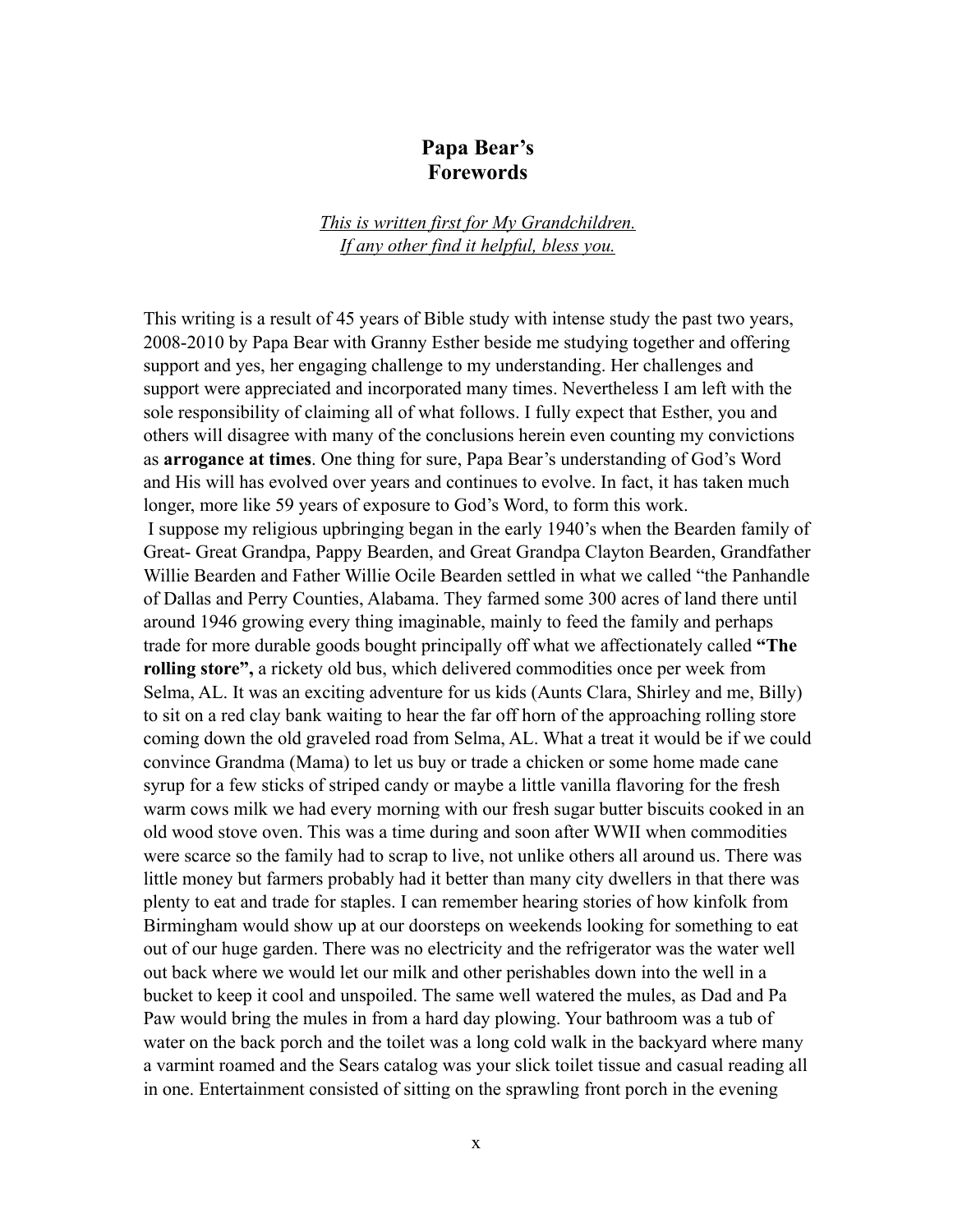#### **Papa Bear's Forewords**

#### *This is written first for My Grandchildren. If any other find it helpful, bless you.*

This writing is a result of 45 years of Bible study with intense study the past two years, 2008-2010 by Papa Bear with Granny Esther beside me studying together and offering support and yes, her engaging challenge to my understanding. Her challenges and support were appreciated and incorporated many times. Nevertheless I am left with the sole responsibility of claiming all of what follows. I fully expect that Esther, you and others will disagree with many of the conclusions herein even counting my convictions as **arrogance at times**. One thing for sure, Papa Bear's understanding of God's Word and His will has evolved over years and continues to evolve. In fact, it has taken much longer, more like 59 years of exposure to God's Word, to form this work. I suppose my religious upbringing began in the early 1940's when the Bearden family of Great- Great Grandpa, Pappy Bearden, and Great Grandpa Clayton Bearden, Grandfather Willie Bearden and Father Willie Ocile Bearden settled in what we called "the Panhandle of Dallas and Perry Counties, Alabama. They farmed some 300 acres of land there until around 1946 growing every thing imaginable, mainly to feed the family and perhaps trade for more durable goods bought principally off what we affectionately called **"The rolling store",** a rickety old bus, which delivered commodities once per week from Selma, AL. It was an exciting adventure for us kids (Aunts Clara, Shirley and me, Billy) to sit on a red clay bank waiting to hear the far off horn of the approaching rolling store coming down the old graveled road from Selma, AL. What a treat it would be if we could convince Grandma (Mama) to let us buy or trade a chicken or some home made cane syrup for a few sticks of striped candy or maybe a little vanilla flavoring for the fresh warm cows milk we had every morning with our fresh sugar butter biscuits cooked in an old wood stove oven. This was a time during and soon after WWII when commodities were scarce so the family had to scrap to live, not unlike others all around us. There was little money but farmers probably had it better than many city dwellers in that there was plenty to eat and trade for staples. I can remember hearing stories of how kinfolk from Birmingham would show up at our doorsteps on weekends looking for something to eat out of our huge garden. There was no electricity and the refrigerator was the water well out back where we would let our milk and other perishables down into the well in a bucket to keep it cool and unspoiled. The same well watered the mules, as Dad and Pa Paw would bring the mules in from a hard day plowing. Your bathroom was a tub of water on the back porch and the toilet was a long cold walk in the backyard where many a varmint roamed and the Sears catalog was your slick toilet tissue and casual reading all in one. Entertainment consisted of sitting on the sprawling front porch in the evening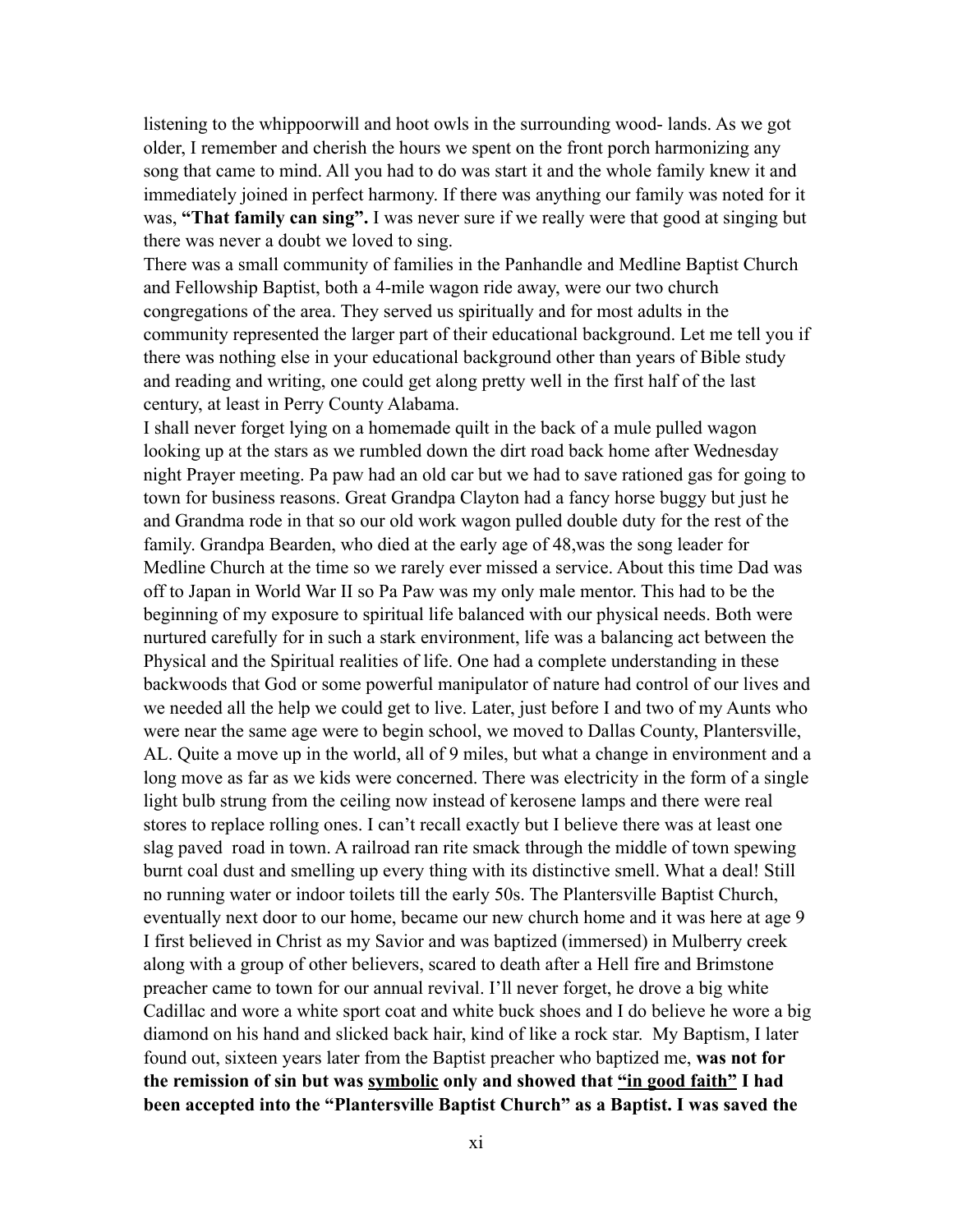listening to the whippoorwill and hoot owls in the surrounding wood- lands. As we got older, I remember and cherish the hours we spent on the front porch harmonizing any song that came to mind. All you had to do was start it and the whole family knew it and immediately joined in perfect harmony. If there was anything our family was noted for it was, **"That family can sing".** I was never sure if we really were that good at singing but there was never a doubt we loved to sing.

There was a small community of families in the Panhandle and Medline Baptist Church and Fellowship Baptist, both a 4-mile wagon ride away, were our two church congregations of the area. They served us spiritually and for most adults in the community represented the larger part of their educational background. Let me tell you if there was nothing else in your educational background other than years of Bible study and reading and writing, one could get along pretty well in the first half of the last century, at least in Perry County Alabama.

I shall never forget lying on a homemade quilt in the back of a mule pulled wagon looking up at the stars as we rumbled down the dirt road back home after Wednesday night Prayer meeting. Pa paw had an old car but we had to save rationed gas for going to town for business reasons. Great Grandpa Clayton had a fancy horse buggy but just he and Grandma rode in that so our old work wagon pulled double duty for the rest of the family. Grandpa Bearden, who died at the early age of 48,was the song leader for Medline Church at the time so we rarely ever missed a service. About this time Dad was off to Japan in World War II so Pa Paw was my only male mentor. This had to be the beginning of my exposure to spiritual life balanced with our physical needs. Both were nurtured carefully for in such a stark environment, life was a balancing act between the Physical and the Spiritual realities of life. One had a complete understanding in these backwoods that God or some powerful manipulator of nature had control of our lives and we needed all the help we could get to live. Later, just before I and two of my Aunts who were near the same age were to begin school, we moved to Dallas County, Plantersville, AL. Quite a move up in the world, all of 9 miles, but what a change in environment and a long move as far as we kids were concerned. There was electricity in the form of a single light bulb strung from the ceiling now instead of kerosene lamps and there were real stores to replace rolling ones. I can't recall exactly but I believe there was at least one slag paved road in town. A railroad ran rite smack through the middle of town spewing burnt coal dust and smelling up every thing with its distinctive smell. What a deal! Still no running water or indoor toilets till the early 50s. The Plantersville Baptist Church, eventually next door to our home, became our new church home and it was here at age 9 I first believed in Christ as my Savior and was baptized (immersed) in Mulberry creek along with a group of other believers, scared to death after a Hell fire and Brimstone preacher came to town for our annual revival. I'll never forget, he drove a big white Cadillac and wore a white sport coat and white buck shoes and I do believe he wore a big diamond on his hand and slicked back hair, kind of like a rock star. My Baptism, I later found out, sixteen years later from the Baptist preacher who baptized me, **was not for the remission of sin but was symbolic only and showed that "in good faith" I had been accepted into the "Plantersville Baptist Church" as a Baptist. I was saved the**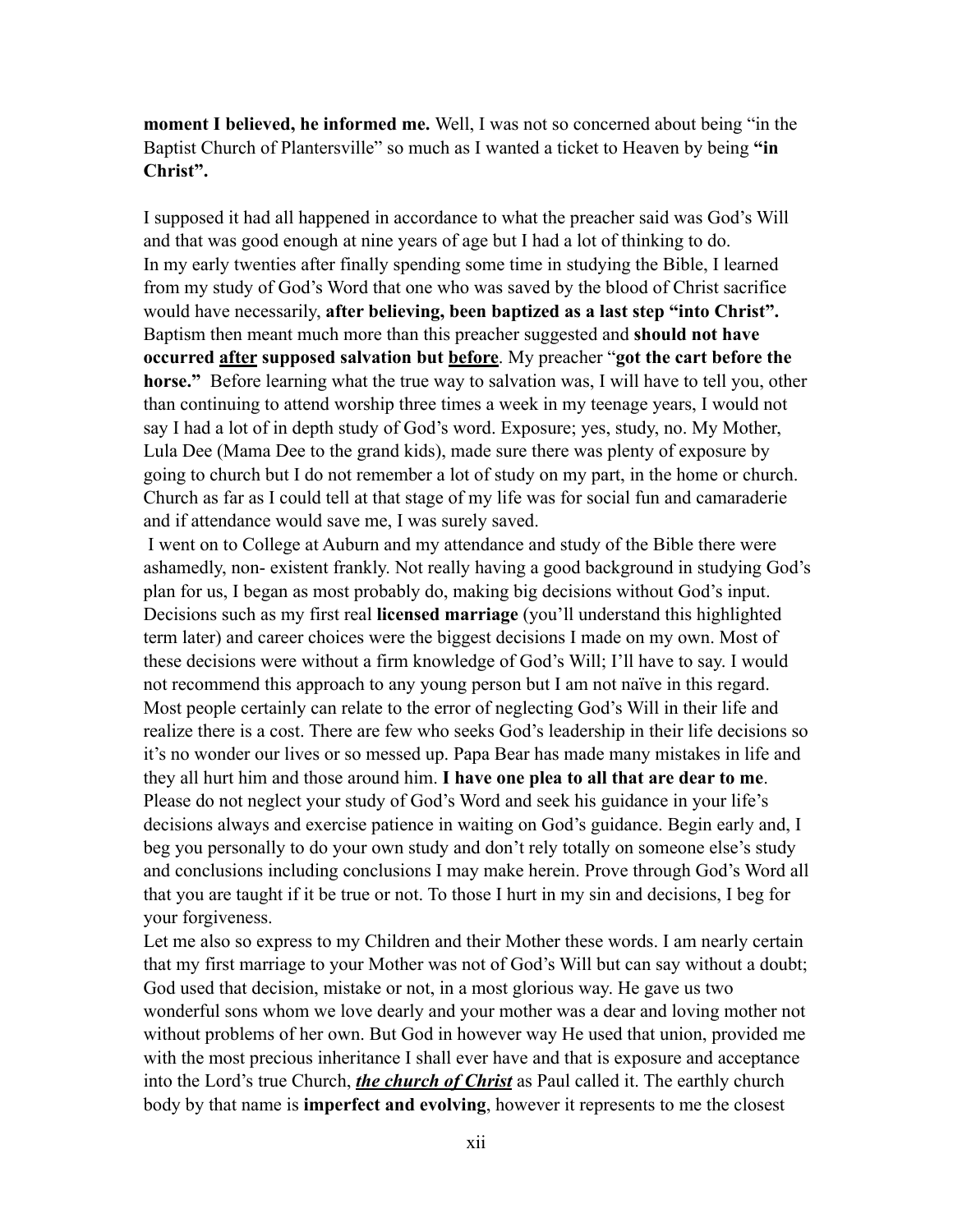**moment I believed, he informed me.** Well, I was not so concerned about being "in the Baptist Church of Plantersville" so much as I wanted a ticket to Heaven by being **"in Christ".**

I supposed it had all happened in accordance to what the preacher said was God's Will and that was good enough at nine years of age but I had a lot of thinking to do. In my early twenties after finally spending some time in studying the Bible, I learned from my study of God's Word that one who was saved by the blood of Christ sacrifice would have necessarily, **after believing, been baptized as a last step "into Christ".** Baptism then meant much more than this preacher suggested and **should not have occurred after supposed salvation but before**. My preacher "**got the cart before the horse."** Before learning what the true way to salvation was, I will have to tell you, other than continuing to attend worship three times a week in my teenage years, I would not say I had a lot of in depth study of God's word. Exposure; yes, study, no. My Mother, Lula Dee (Mama Dee to the grand kids), made sure there was plenty of exposure by going to church but I do not remember a lot of study on my part, in the home or church. Church as far as I could tell at that stage of my life was for social fun and camaraderie and if attendance would save me, I was surely saved.

 I went on to College at Auburn and my attendance and study of the Bible there were ashamedly, non- existent frankly. Not really having a good background in studying God's plan for us, I began as most probably do, making big decisions without God's input. Decisions such as my first real **licensed marriage** (you'll understand this highlighted term later) and career choices were the biggest decisions I made on my own. Most of these decisions were without a firm knowledge of God's Will; I'll have to say. I would not recommend this approach to any young person but I am not naïve in this regard. Most people certainly can relate to the error of neglecting God's Will in their life and realize there is a cost. There are few who seeks God's leadership in their life decisions so it's no wonder our lives or so messed up. Papa Bear has made many mistakes in life and they all hurt him and those around him. **I have one plea to all that are dear to me**. Please do not neglect your study of God's Word and seek his guidance in your life's decisions always and exercise patience in waiting on God's guidance. Begin early and, I beg you personally to do your own study and don't rely totally on someone else's study and conclusions including conclusions I may make herein. Prove through God's Word all that you are taught if it be true or not. To those I hurt in my sin and decisions, I beg for your forgiveness.

Let me also so express to my Children and their Mother these words. I am nearly certain that my first marriage to your Mother was not of God's Will but can say without a doubt; God used that decision, mistake or not, in a most glorious way. He gave us two wonderful sons whom we love dearly and your mother was a dear and loving mother not without problems of her own. But God in however way He used that union, provided me with the most precious inheritance I shall ever have and that is exposure and acceptance into the Lord's true Church, *the church of Christ* as Paul called it. The earthly church body by that name is **imperfect and evolving**, however it represents to me the closest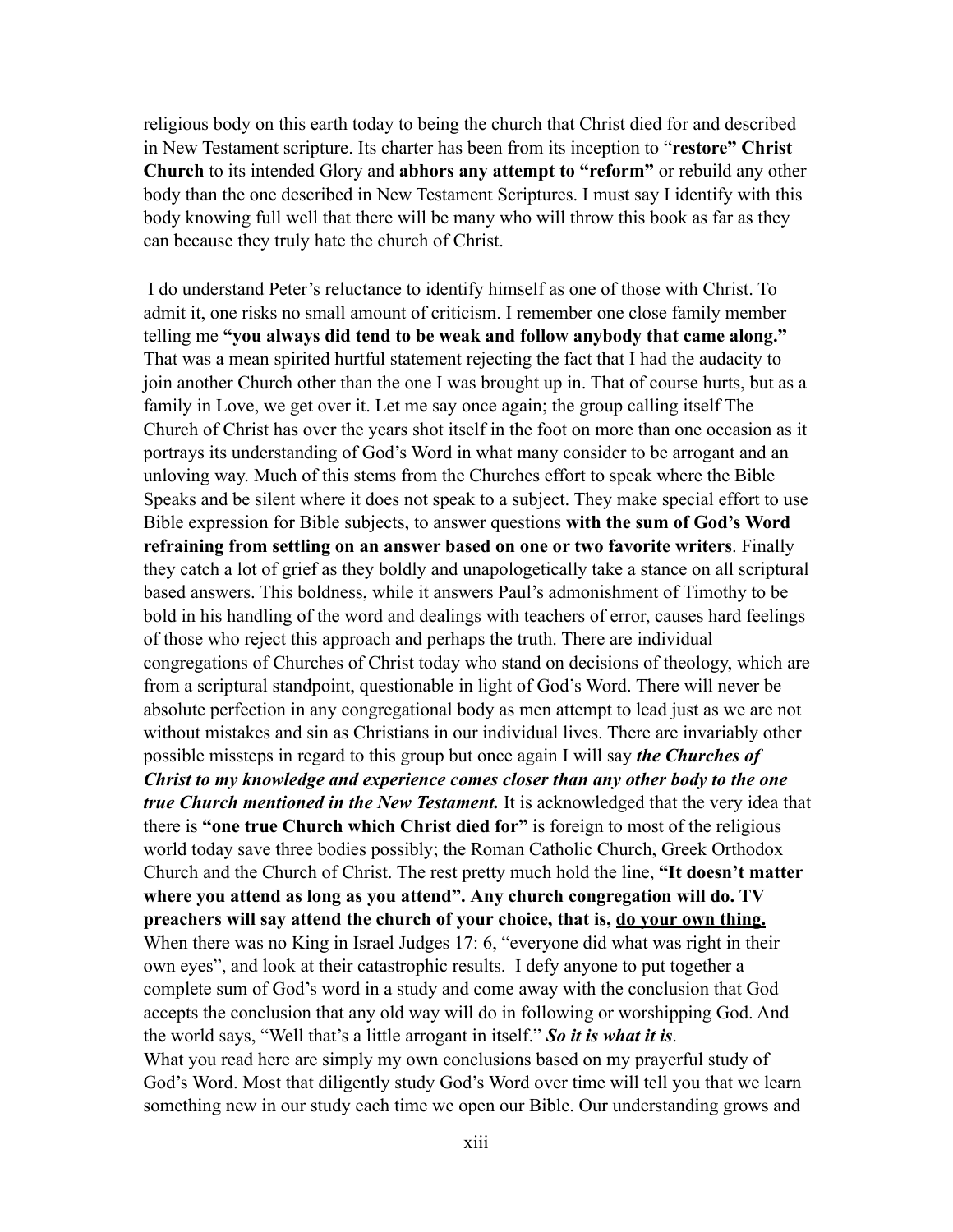religious body on this earth today to being the church that Christ died for and described in New Testament scripture. Its charter has been from its inception to "**restore" Christ Church** to its intended Glory and **abhors any attempt to "reform"** or rebuild any other body than the one described in New Testament Scriptures. I must say I identify with this body knowing full well that there will be many who will throw this book as far as they can because they truly hate the church of Christ.

 I do understand Peter's reluctance to identify himself as one of those with Christ. To admit it, one risks no small amount of criticism. I remember one close family member telling me **"you always did tend to be weak and follow anybody that came along."**  That was a mean spirited hurtful statement rejecting the fact that I had the audacity to join another Church other than the one I was brought up in. That of course hurts, but as a family in Love, we get over it. Let me say once again; the group calling itself The Church of Christ has over the years shot itself in the foot on more than one occasion as it portrays its understanding of God's Word in what many consider to be arrogant and an unloving way. Much of this stems from the Churches effort to speak where the Bible Speaks and be silent where it does not speak to a subject. They make special effort to use Bible expression for Bible subjects, to answer questions **with the sum of God's Word refraining from settling on an answer based on one or two favorite writers**. Finally they catch a lot of grief as they boldly and unapologetically take a stance on all scriptural based answers. This boldness, while it answers Paul's admonishment of Timothy to be bold in his handling of the word and dealings with teachers of error, causes hard feelings of those who reject this approach and perhaps the truth. There are individual congregations of Churches of Christ today who stand on decisions of theology, which are from a scriptural standpoint, questionable in light of God's Word. There will never be absolute perfection in any congregational body as men attempt to lead just as we are not without mistakes and sin as Christians in our individual lives. There are invariably other possible missteps in regard to this group but once again I will say *the Churches of Christ to my knowledge and experience comes closer than any other body to the one true Church mentioned in the New Testament.* It is acknowledged that the very idea that there is **"one true Church which Christ died for"** is foreign to most of the religious world today save three bodies possibly; the Roman Catholic Church, Greek Orthodox Church and the Church of Christ. The rest pretty much hold the line, **"It doesn't matter where you attend as long as you attend". Any church congregation will do. TV preachers will say attend the church of your choice, that is, do your own thing.**  When there was no King in Israel Judges 17: 6, "everyone did what was right in their own eyes", and look at their catastrophic results. I defy anyone to put together a complete sum of God's word in a study and come away with the conclusion that God accepts the conclusion that any old way will do in following or worshipping God. And the world says, "Well that's a little arrogant in itself." *So it is what it is*. What you read here are simply my own conclusions based on my prayerful study of God's Word. Most that diligently study God's Word over time will tell you that we learn something new in our study each time we open our Bible. Our understanding grows and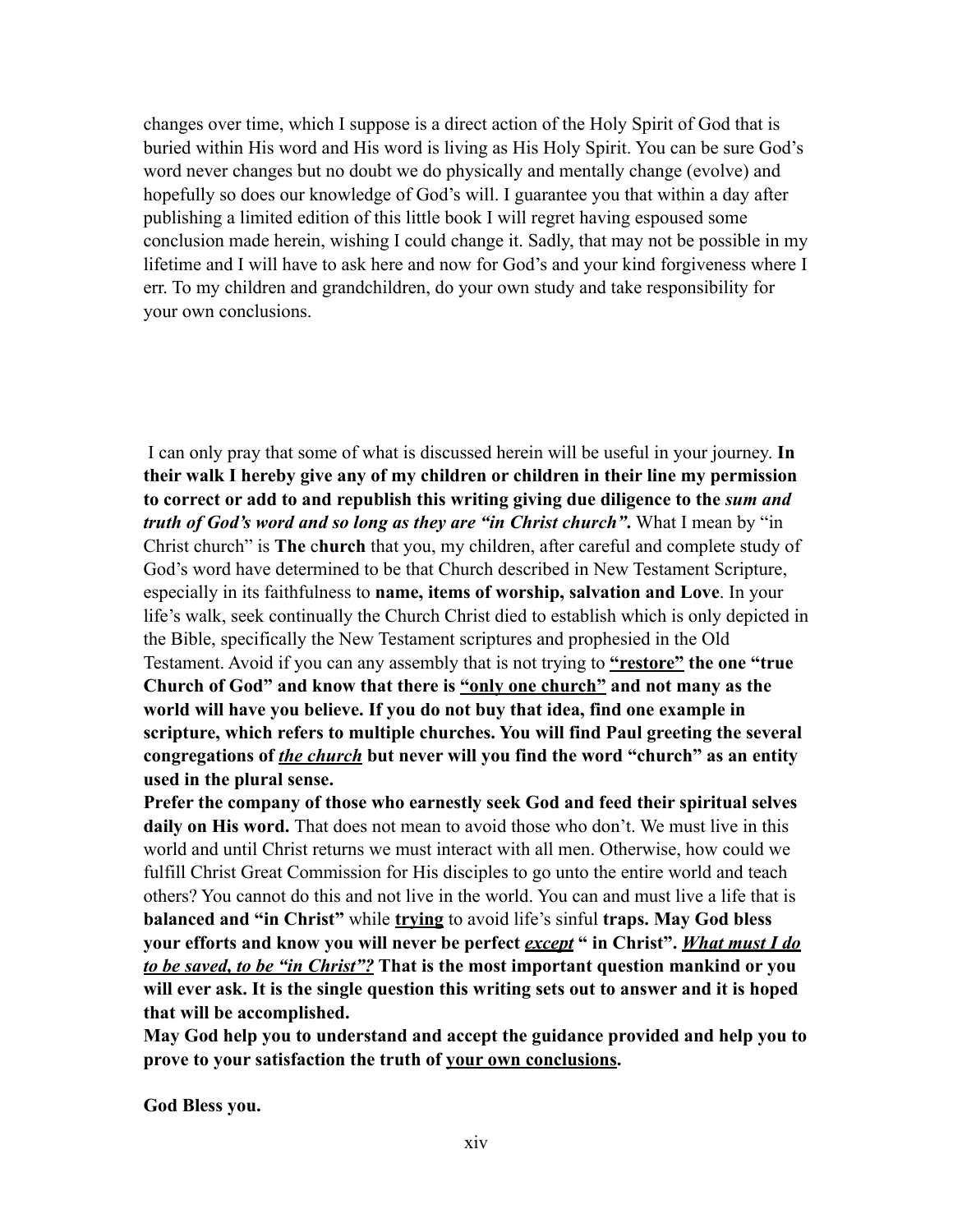changes over time, which I suppose is a direct action of the Holy Spirit of God that is buried within His word and His word is living as His Holy Spirit. You can be sure God's word never changes but no doubt we do physically and mentally change (evolve) and hopefully so does our knowledge of God's will. I guarantee you that within a day after publishing a limited edition of this little book I will regret having espoused some conclusion made herein, wishing I could change it. Sadly, that may not be possible in my lifetime and I will have to ask here and now for God's and your kind forgiveness where I err. To my children and grandchildren, do your own study and take responsibility for your own conclusions.

 I can only pray that some of what is discussed herein will be useful in your journey. **In their walk I hereby give any of my children or children in their line my permission to correct or add to and republish this writing giving due diligence to the** *sum and truth of God's word and so long as they are "in Christ church"***.** What I mean by "in Christ church" is **The** c**hurch** that you, my children, after careful and complete study of God's word have determined to be that Church described in New Testament Scripture, especially in its faithfulness to **name, items of worship, salvation and Love**. In your life's walk, seek continually the Church Christ died to establish which is only depicted in the Bible, specifically the New Testament scriptures and prophesied in the Old Testament. Avoid if you can any assembly that is not trying to **"restore" the one "true Church of God" and know that there is "only one church" and not many as the world will have you believe. If you do not buy that idea, find one example in scripture, which refers to multiple churches. You will find Paul greeting the several congregations of** *the church* **but never will you find the word "church" as an entity used in the plural sense.** 

**Prefer the company of those who earnestly seek God and feed their spiritual selves**  daily on His word. That does not mean to avoid those who don't. We must live in this world and until Christ returns we must interact with all men. Otherwise, how could we fulfill Christ Great Commission for His disciples to go unto the entire world and teach others? You cannot do this and not live in the world. You can and must live a life that is **balanced and "in Christ"** while **trying** to avoid life's sinful **traps. May God bless your efforts and know you will never be perfect** *except* **" in Christ".** *What must I do to be saved, to be "in Christ"?* **That is the most important question mankind or you will ever ask. It is the single question this writing sets out to answer and it is hoped that will be accomplished.** 

**May God help you to understand and accept the guidance provided and help you to prove to your satisfaction the truth of your own conclusions.** 

**God Bless you.**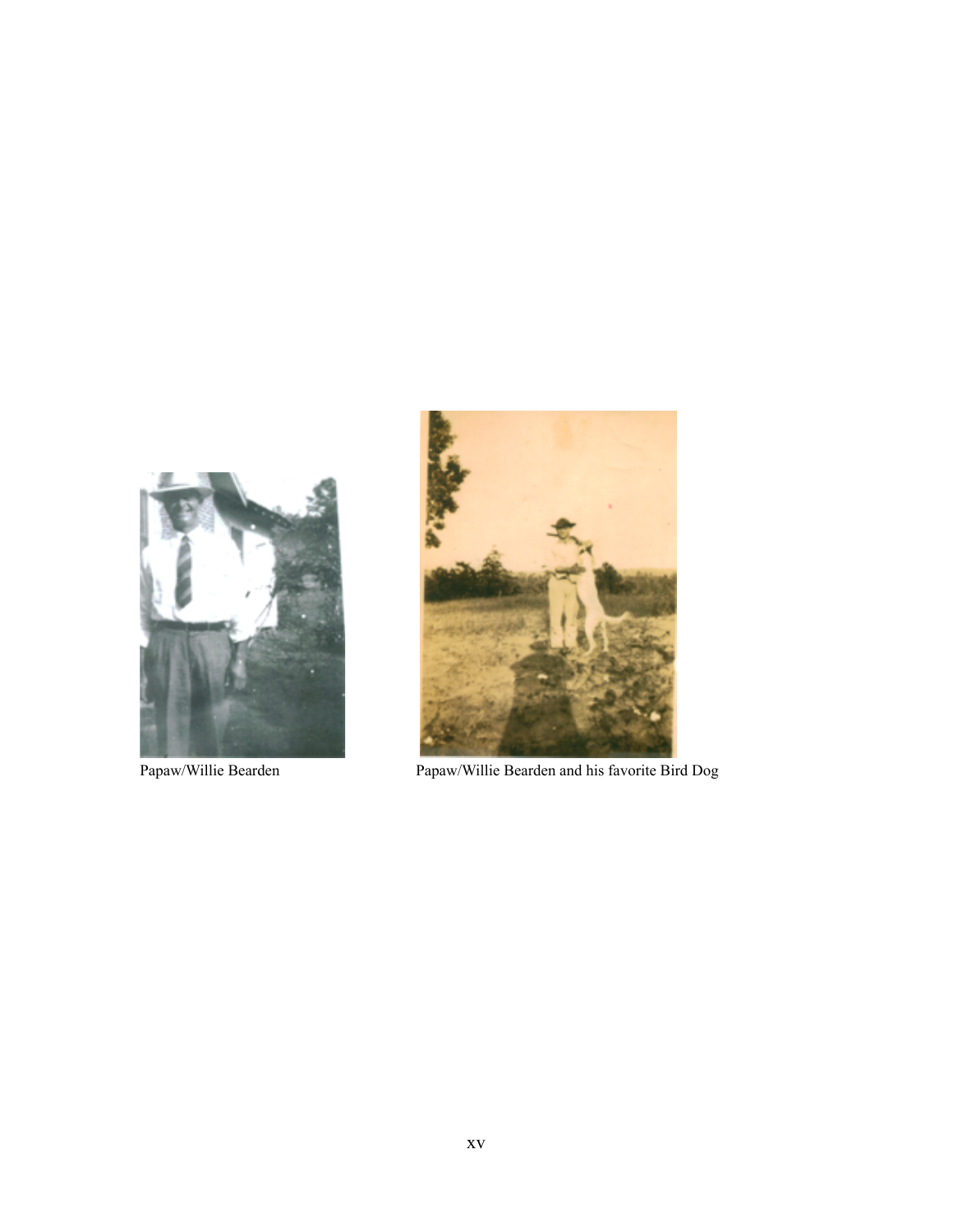



Papaw/Willie Bearden Papaw/Willie Bearden and his favorite Bird Dog